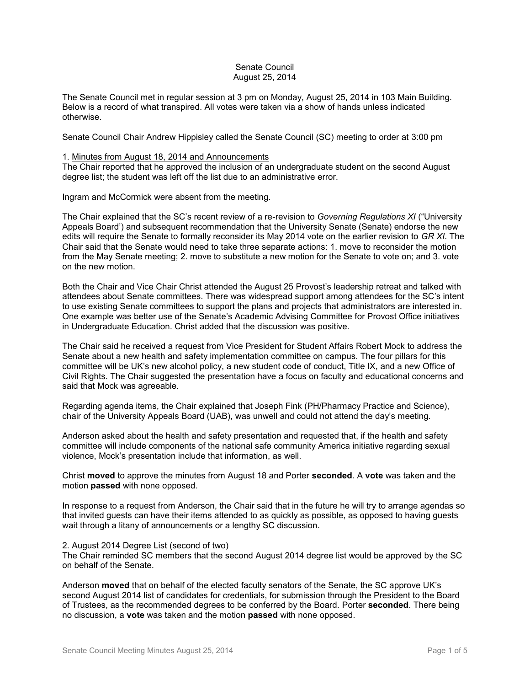### Senate Council August 25, 2014

The Senate Council met in regular session at 3 pm on Monday, August 25, 2014 in 103 Main Building. Below is a record of what transpired. All votes were taken via a show of hands unless indicated otherwise.

Senate Council Chair Andrew Hippisley called the Senate Council (SC) meeting to order at 3:00 pm

### 1. Minutes from August 18, 2014 and Announcements

The Chair reported that he approved the inclusion of an undergraduate student on the second August degree list; the student was left off the list due to an administrative error.

Ingram and McCormick were absent from the meeting.

The Chair explained that the SC's recent review of a re-revision to *Governing Regulations XI* ("University Appeals Board') and subsequent recommendation that the University Senate (Senate) endorse the new edits will require the Senate to formally reconsider its May 2014 vote on the earlier revision to *GR XI*. The Chair said that the Senate would need to take three separate actions: 1. move to reconsider the motion from the May Senate meeting; 2. move to substitute a new motion for the Senate to vote on; and 3. vote on the new motion.

Both the Chair and Vice Chair Christ attended the August 25 Provost's leadership retreat and talked with attendees about Senate committees. There was widespread support among attendees for the SC's intent to use existing Senate committees to support the plans and projects that administrators are interested in. One example was better use of the Senate's Academic Advising Committee for Provost Office initiatives in Undergraduate Education. Christ added that the discussion was positive.

The Chair said he received a request from Vice President for Student Affairs Robert Mock to address the Senate about a new health and safety implementation committee on campus. The four pillars for this committee will be UK's new alcohol policy, a new student code of conduct, Title IX, and a new Office of Civil Rights. The Chair suggested the presentation have a focus on faculty and educational concerns and said that Mock was agreeable.

Regarding agenda items, the Chair explained that Joseph Fink (PH/Pharmacy Practice and Science), chair of the University Appeals Board (UAB), was unwell and could not attend the day's meeting.

Anderson asked about the health and safety presentation and requested that, if the health and safety committee will include components of the national safe community America initiative regarding sexual violence, Mock's presentation include that information, as well.

Christ **moved** to approve the minutes from August 18 and Porter **seconded**. A **vote** was taken and the motion **passed** with none opposed.

In response to a request from Anderson, the Chair said that in the future he will try to arrange agendas so that invited guests can have their items attended to as quickly as possible, as opposed to having guests wait through a litany of announcements or a lengthy SC discussion.

### 2. August 2014 Degree List (second of two)

The Chair reminded SC members that the second August 2014 degree list would be approved by the SC on behalf of the Senate.

Anderson **moved** that on behalf of the elected faculty senators of the Senate, the SC approve UK's second August 2014 list of candidates for credentials, for submission through the President to the Board of Trustees, as the recommended degrees to be conferred by the Board. Porter **seconded**. There being no discussion, a **vote** was taken and the motion **passed** with none opposed.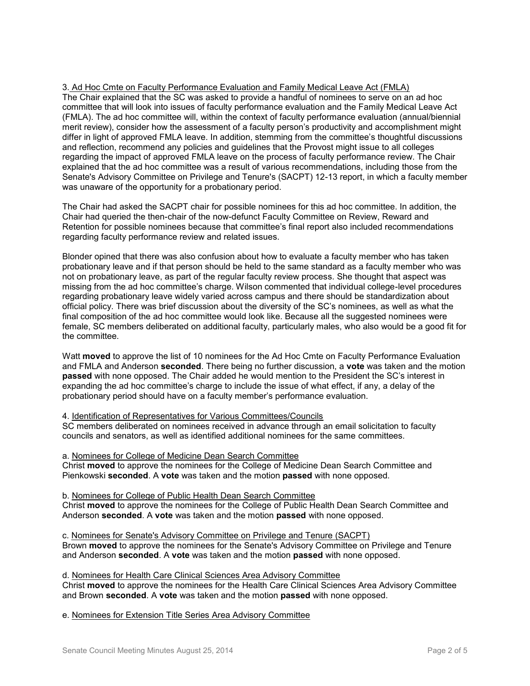### 3. Ad Hoc Cmte on Faculty Performance Evaluation and Family Medical Leave Act (FMLA) The Chair explained that the SC was asked to provide a handful of nominees to serve on an ad hoc committee that will look into issues of faculty performance evaluation and the Family Medical Leave Act (FMLA). The ad hoc committee will, within the context of faculty performance evaluation (annual/biennial merit review), consider how the assessment of a faculty person's productivity and accomplishment might differ in light of approved FMLA leave. In addition, stemming from the committee's thoughtful discussions and reflection, recommend any policies and guidelines that the Provost might issue to all colleges regarding the impact of approved FMLA leave on the process of faculty performance review. The Chair explained that the ad hoc committee was a result of various recommendations, including those from the Senate's Advisory Committee on Privilege and Tenure's (SACPT) 12-13 report, in which a faculty member was unaware of the opportunity for a probationary period.

The Chair had asked the SACPT chair for possible nominees for this ad hoc committee. In addition, the Chair had queried the then-chair of the now-defunct Faculty Committee on Review, Reward and Retention for possible nominees because that committee's final report also included recommendations regarding faculty performance review and related issues.

Blonder opined that there was also confusion about how to evaluate a faculty member who has taken probationary leave and if that person should be held to the same standard as a faculty member who was not on probationary leave, as part of the regular faculty review process. She thought that aspect was missing from the ad hoc committee's charge. Wilson commented that individual college-level procedures regarding probationary leave widely varied across campus and there should be standardization about official policy. There was brief discussion about the diversity of the SC's nominees, as well as what the final composition of the ad hoc committee would look like. Because all the suggested nominees were female, SC members deliberated on additional faculty, particularly males, who also would be a good fit for the committee.

Watt **moved** to approve the list of 10 nominees for the Ad Hoc Cmte on Faculty Performance Evaluation and FMLA and Anderson **seconded**. There being no further discussion, a **vote** was taken and the motion **passed** with none opposed. The Chair added he would mention to the President the SC's interest in expanding the ad hoc committee's charge to include the issue of what effect, if any, a delay of the probationary period should have on a faculty member's performance evaluation.

4. Identification of Representatives for Various Committees/Councils

SC members deliberated on nominees received in advance through an email solicitation to faculty councils and senators, as well as identified additional nominees for the same committees.

a. Nominees for College of Medicine Dean Search Committee Christ **moved** to approve the nominees for the College of Medicine Dean Search Committee and Pienkowski **seconded**. A **vote** was taken and the motion **passed** with none opposed.

b. Nominees for College of Public Health Dean Search Committee Christ **moved** to approve the nominees for the College of Public Health Dean Search Committee and Anderson **seconded**. A **vote** was taken and the motion **passed** with none opposed.

c. Nominees for Senate's Advisory Committee on Privilege and Tenure (SACPT) Brown **moved** to approve the nominees for the Senate's Advisory Committee on Privilege and Tenure and Anderson **seconded**. A **vote** was taken and the motion **passed** with none opposed.

d. Nominees for Health Care Clinical Sciences Area Advisory Committee

Christ **moved** to approve the nominees for the Health Care Clinical Sciences Area Advisory Committee and Brown **seconded**. A **vote** was taken and the motion **passed** with none opposed.

e. Nominees for Extension Title Series Area Advisory Committee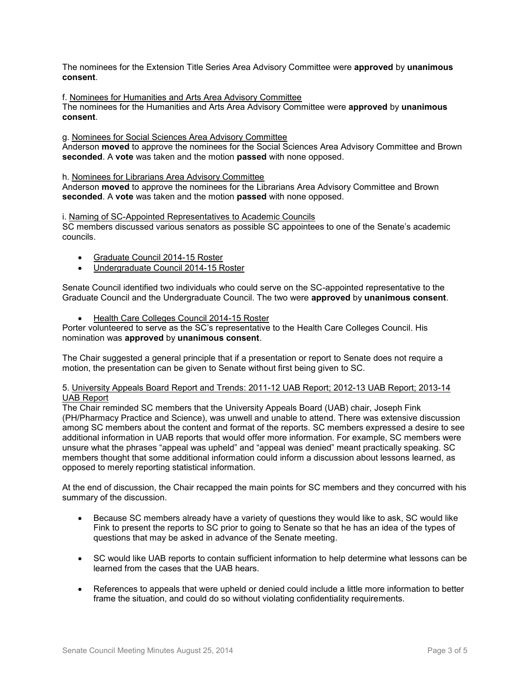The nominees for the Extension Title Series Area Advisory Committee were **approved** by **unanimous consent**.

# f. Nominees for Humanities and Arts Area Advisory Committee

The nominees for the Humanities and Arts Area Advisory Committee were **approved** by **unanimous consent**.

#### g. Nominees for Social Sciences Area Advisory Committee

Anderson **moved** to approve the nominees for the Social Sciences Area Advisory Committee and Brown **seconded**. A **vote** was taken and the motion **passed** with none opposed.

#### h. Nominees for Librarians Area Advisory Committee

Anderson **moved** to approve the nominees for the Librarians Area Advisory Committee and Brown **seconded**. A **vote** was taken and the motion **passed** with none opposed.

#### i. Naming of SC-Appointed Representatives to Academic Councils

SC members discussed various senators as possible SC appointees to one of the Senate's academic councils.

- Graduate Council 2014-15 Roster
- Undergraduate Council 2014-15 Roster

Senate Council identified two individuals who could serve on the SC-appointed representative to the Graduate Council and the Undergraduate Council. The two were **approved** by **unanimous consent**.

Health Care Colleges Council 2014-15 Roster

Porter volunteered to serve as the SC's representative to the Health Care Colleges Council. His nomination was **approved** by **unanimous consent**.

The Chair suggested a general principle that if a presentation or report to Senate does not require a motion, the presentation can be given to Senate without first being given to SC.

### 5. University Appeals Board Report and Trends: 2011-12 UAB Report; 2012-13 UAB Report; 2013-14 UAB Report

The Chair reminded SC members that the University Appeals Board (UAB) chair, Joseph Fink (PH/Pharmacy Practice and Science), was unwell and unable to attend. There was extensive discussion among SC members about the content and format of the reports. SC members expressed a desire to see additional information in UAB reports that would offer more information. For example, SC members were unsure what the phrases "appeal was upheld" and "appeal was denied" meant practically speaking. SC members thought that some additional information could inform a discussion about lessons learned, as opposed to merely reporting statistical information.

At the end of discussion, the Chair recapped the main points for SC members and they concurred with his summary of the discussion.

- Because SC members already have a variety of questions they would like to ask, SC would like Fink to present the reports to SC prior to going to Senate so that he has an idea of the types of questions that may be asked in advance of the Senate meeting.
- SC would like UAB reports to contain sufficient information to help determine what lessons can be learned from the cases that the UAB hears.
- References to appeals that were upheld or denied could include a little more information to better frame the situation, and could do so without violating confidentiality requirements.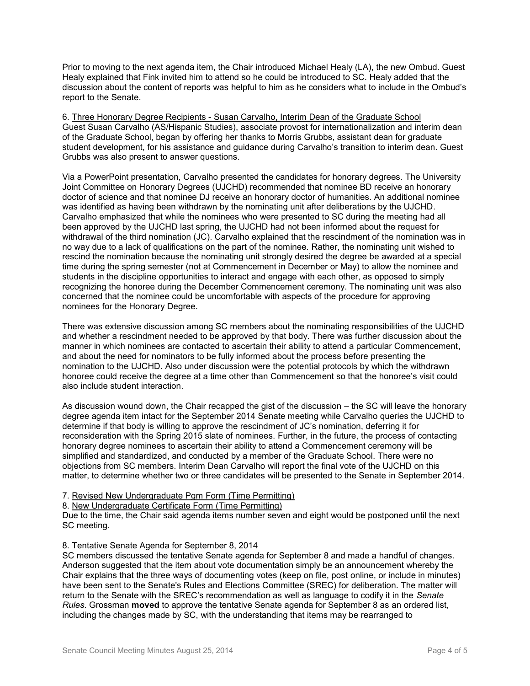Prior to moving to the next agenda item, the Chair introduced Michael Healy (LA), the new Ombud. Guest Healy explained that Fink invited him to attend so he could be introduced to SC. Healy added that the discussion about the content of reports was helpful to him as he considers what to include in the Ombud's report to the Senate.

6. Three Honorary Degree Recipients - Susan Carvalho, Interim Dean of the Graduate School Guest Susan Carvalho (AS/Hispanic Studies), associate provost for internationalization and interim dean of the Graduate School, began by offering her thanks to Morris Grubbs, assistant dean for graduate student development, for his assistance and guidance during Carvalho's transition to interim dean. Guest Grubbs was also present to answer questions.

Via a PowerPoint presentation, Carvalho presented the candidates for honorary degrees. The University Joint Committee on Honorary Degrees (UJCHD) recommended that nominee BD receive an honorary doctor of science and that nominee DJ receive an honorary doctor of humanities. An additional nominee was identified as having been withdrawn by the nominating unit after deliberations by the UJCHD. Carvalho emphasized that while the nominees who were presented to SC during the meeting had all been approved by the UJCHD last spring, the UJCHD had not been informed about the request for withdrawal of the third nomination (JC). Carvalho explained that the rescindment of the nomination was in no way due to a lack of qualifications on the part of the nominee. Rather, the nominating unit wished to rescind the nomination because the nominating unit strongly desired the degree be awarded at a special time during the spring semester (not at Commencement in December or May) to allow the nominee and students in the discipline opportunities to interact and engage with each other, as opposed to simply recognizing the honoree during the December Commencement ceremony. The nominating unit was also concerned that the nominee could be uncomfortable with aspects of the procedure for approving nominees for the Honorary Degree.

There was extensive discussion among SC members about the nominating responsibilities of the UJCHD and whether a rescindment needed to be approved by that body. There was further discussion about the manner in which nominees are contacted to ascertain their ability to attend a particular Commencement, and about the need for nominators to be fully informed about the process before presenting the nomination to the UJCHD. Also under discussion were the potential protocols by which the withdrawn honoree could receive the degree at a time other than Commencement so that the honoree's visit could also include student interaction.

As discussion wound down, the Chair recapped the gist of the discussion – the SC will leave the honorary degree agenda item intact for the September 2014 Senate meeting while Carvalho queries the UJCHD to determine if that body is willing to approve the rescindment of JC's nomination, deferring it for reconsideration with the Spring 2015 slate of nominees. Further, in the future, the process of contacting honorary degree nominees to ascertain their ability to attend a Commencement ceremony will be simplified and standardized, and conducted by a member of the Graduate School. There were no objections from SC members. Interim Dean Carvalho will report the final vote of the UJCHD on this matter, to determine whether two or three candidates will be presented to the Senate in September 2014.

## 7. Revised New Undergraduate Pgm Form (Time Permitting)

8. New Undergraduate Certificate Form (Time Permitting)

Due to the time, the Chair said agenda items number seven and eight would be postponed until the next SC meeting.

### 8. Tentative Senate Agenda for September 8, 2014

SC members discussed the tentative Senate agenda for September 8 and made a handful of changes. Anderson suggested that the item about vote documentation simply be an announcement whereby the Chair explains that the three ways of documenting votes (keep on file, post online, or include in minutes) have been sent to the Senate's Rules and Elections Committee (SREC) for deliberation. The matter will return to the Senate with the SREC's recommendation as well as language to codify it in the *Senate Rules*. Grossman **moved** to approve the tentative Senate agenda for September 8 as an ordered list, including the changes made by SC, with the understanding that items may be rearranged to